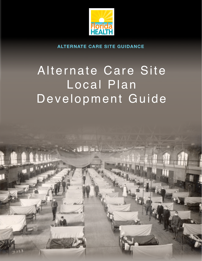

**ALTERNATE CARE SITE GUIDANCE**

# Alternate Care Site Local Plan Development Guide

a ti ii is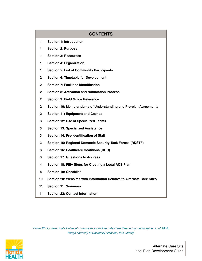# **CONTENTS Section 1: Introduction Section 2: Purpose Section 3: Resources Section 4: Organization Section 5: List of Community Participants Section 6: Timetable for Development Section 7: Facilities Identification Section 8: Activation and Notification Process Section 9: Field Guide Reference Section 10: Memorandums of Understanding and Pre-plan Agreements Section 11: Equipment and Caches Section 12: Use of Specialized Teams Section 13: Specialized Assistance Section 14: Pre-identification of Staff Section 15: Regional Domestic Security Task Forces (RDSTF) Section 16: Healthcare Coalitions (HCC) Section 17: Questions to Address Section 18: Fifty Steps for Creating a Local ACS Plan Section 19: Checklist Section 20: Websites with Information Relative to Alternate Care Sites Section 21: Summary Section 22: Contact Information**

*Cover Photo: Iowa State University gym used as an Alternate Care Site during the flu epidemic of 1918. Image courtesy of University Archives, ISU Library.*



Alternate Care Site Local Plan Development Guide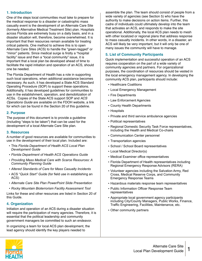#### **1. Introduction**

One of the steps local communities must take to prepare for the medical response to a disaster or catastrophic mass casualty event is the development of an Alternate Care Site (formerly Alternative Medical Treatment Site) plan. Hospitals across Florida are extremely busy on a daily basis, and in a disaster situation will, therefore, become overwhelmed. It is important that their resources remain available for treating critical patients. One method to achieve this is to open Alternate Care Sites (ACS) to handle the "green-tagged" or "minor" patients. Since medical surge is firstly a "hospital facility" issue and then a "local community" issue, it is important that a local plan be developed ahead of time to facilitate the rapid initiation and operation of an ACS, should one be needed.

The Florida Department of Health has a role in supporting such local operations, when additional assistance becomes necessary. As such, it has developed a State ACS Standard Operating Procedure (SOP) to support these operations. Additionally, it has developed guidelines for communities to use in the establishment, operation, and demobilization of ACSs. Copies of the State ACS support SOP and *ACS Operations Guide* are available on the FDOH website, a link for which can be found in the Section 20 of this guideline.

#### **2. Purpose**

The purpose of this document is to provide a guideline (including "steps to be taken") that can be used for the development of a local Alternate Care Site plan.

#### **3. Resources**

A number of good resources are available for communities to use in the development of their local plan. Included are:

- This *Florida Department of Health ACS Local Plan Development Guide*
- *• Florida Department of Health ACS Operations Guide*
- *• Providing Mass Medical Care with Scarce Resources: A Community Planning Guide*
- *• Altered Standards of Care for Mass Casualty Incidents*
- ACS "*Quick Start" Guide* (for field use in establishing an ACS)
- *• Alternate Care Site Plan PowerPoint Slide Presentation*
- *• Rocky Mountain Bioterrorism Facility Assessment Tool*

Links for these and other resources are listed in Section 20 of this Guide.

#### **4. Organization**

Initiation and operation of an ACS during a disaster situation will require the participation of many agencies. Therefore, it is essential that the political leadership and community government managers be committed to such an endeavor.

In organizing a team for local ACS plan development, the lead agency should identify the key players needed to

assemble the plan. The team should consist of people from a wide variety of agencies (see Section 5) who have the authority to make decisions on action items. Further, this cadre of individuals could ultimately develop into the team that activates an ACS, and responds to make the site operational. Additionally, the local ACS plan needs to mesh with other localized or regional plans that address response to mass casualty incidents. In other words, in a disaster, an ACS will likely be very important, but it will only be one of many issues the community will have to manage.

#### **5. List of Community Participants**

Quick implementation and successful operation of an ACS requires cooperation on the part of a wide variety of community agencies and partners. For organizational purposes, the coordination of resources should be vested in the local emergency management agency. In developing the community ACS plan, participants should include:

- Healthcare Coalitions
- Local Emergency Management
- Fire Departments
- Law Enforcement Agencies
- County Health Departments
- Hospitals
- Private and third service ambulance agencies
- Political representatives
- Regional Domestic Security Task Force representatives, including the Health and Medical Co-chairs
- Communication Center personnel
- Transportation agencies
- School / School Board representatives
- Local Medical Director(s)
- Medical Examiner office representatives
- Florida Department of Health representatives including Regional Emergency Response Advisors (RERA)
- Volunteer agencies including the Salvation Army, Red Cross, Medical Reserve Corps, and Community Emergency Response Teams
- Hazardous materials response team representatives
- Public Information Officer Response Team representatives
- Appropriate local government agency participants including City/County Managers, Public Works, Finance, Traffic Engineering, Facilities, Maintenance, etc.
- Other community partners

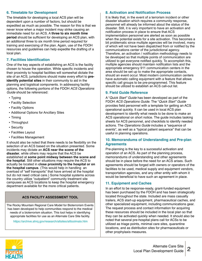#### **6. Timetable for Development**

The timetable for developing a local ACS plan will be dependent upon a number of factors, but should be expedited as much as possible. The reason for this is that we never know when a major incident may strike causing an immediate need for an ACS. A **three to six month time period** should be sufficient for developing an ACS plan, with an additional three to six month time period required for training and exercising of the plan. Again, use of the FDOH resources and guidelines can help expedite the drafting of a local plan.

#### **7. Facilities Identification**

One of the key aspects of establishing an ACS is the facility chosen to house the operation. While specific incidents and their proximity to hospital facilities will somewhat dictate the site of an ACS, jurisdictions should make every effort to **preidentify potential sites** in their community to aid in the planning and logistical components. In addressing facility options, the following portions of the FDOH *ACS Operations Guide* should be referenced:

- Typing
- Facility Selection
- Facility Options
- Additional Options for Ancillary Sites
- Timing
- Throughput
- Security
- Facilities Layout
- Facilities Management

It should also be noted that there needs to be flexibility on the selection of an ACS based on the situation presented. Some incidents may dictate an **ACS near the scene of the disaster**, while others may require that the ACS be established at **some point midway between the scene and the hospital**. Still other situations may require the ACS to actually be located in **close proximity to the hospital or on the hospital campus**. (This would help in handling an overload of "self transports" that have arrived at the hospital but do not need critical care.) Some hospital systems across the country utilize "outpatient" community treatment site campuses as ACS locations to keep the hospital emergency department available for the more critical patients.

#### **ACS FACILITY ASSESSMENT TOOL**

The Rocky Mountain Regional Care Model for Bioterrorism Events has been developed to help communities respond to the medical needs of a bioterrorism situation. This tool helps in identifying appropriate facilities for use as an Alternate Care Site facility.

<https://archive.ahrq.gov/research/altsites/alttoolmatx.htm>

#### **8. Activation and Notification Process**

It is likely that, in the event of a terrorism incident or other disaster situation which requires a community response, personnel will already be informed about the status of the disaster. Still, it is very important to have an activation and notification process in place to ensure that ACS implementation personnel are alerted as soon as possible when the potential exists for a site activation. This becomes a bit problematic since multiple agencies will be involved, many of which will not have been dispatched from or notified by the communications center of the jurisdictional agency. Therefore, an activation / notification methodology needs to be developed so that multiple points of communication are utilized to get everyone notified quickly. To accomplish this, multiple agencies should maintain notification lists and the appropriate emergency 911 communication centers in the area should be set up to make the appropriate contacts, should an event occur. Most modern communication centers have automatic calling equipment with a feature that allows specific call groups to be pre-programmed. This feature should be utilized to establish an ACS call-out list.

#### **9. Field Guide Reference**

A "*Quick Start" Guide* has been developed as part of the FDOH *ACS Operations Guide*. The "*Quick Start" Guide*  provides field personnel with a template for getting an ACS operational quickly. It can be used in local ACS plan development to identify what needs to be done to make an ACS operational on short notice. The guide includes tasking sheets for ACS personnel, and checklists to identify needed actions. The *Operations Guide* includes a "sequence of events", as well as a "typical patient sequence" that can be useful in planning operations.

#### **10. Memorandums of Understanding and Pre-plan Agreements**

Pre-planning is the key to a successful activation and operation of an ACS. As part of the planning process, memorandums of understanding and other agreements should be in place before the need for an ACS arises. Such agreements should be forged with owners or operators of the facilities to be used, medical supply and equipment vendors, transportation agencies, and any other entity with whom it would be beneficial to have such an agreement in place.

#### **11. Equipment and Caches**

In an effort to be response-ready, grant-funded equipment has been purchased by the FDOH and has been strategically located throughout the state. Included are mass casualty trailers, ACS start-up equipment, pharmaceutical caches, and other specialized equipment, including communications gear. The request process and contact information for acquiring these resources should be included in the local plan so that they can be activated quickly when needed. It should also be noted that several pre-hospital plans call for ACSs to be utilized as triage points, minimal care sites, quarantine locations, and as distribution sites for pharmaceuticals or other prophylaxis measures.

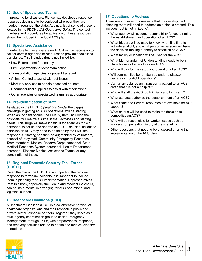#### **12. Use of Specialized Teams**

In preparing for disasters, Florida has developed response resources designed to be deployed wherever they are needed throughout the state. Again, a list of some of these is located in the FDOH *ACS Operations Guide*. The contact numbers and procedures for activation of these resources should be included in the local ACS plan.

#### **13. Specialized Assistance**

In order to effectively operate an ACS it will be necessary to call for certain agencies or resources to provide specialized assistance. This includes (but is not limited to):

- Law Enforcement for security
- Fire Departments for decontamination
- Transportation agencies for patient transport
- Animal Control to assist with pet issues
- Mortuary services to handle deceased patients
- Pharmaceutical suppliers to assist with medications
- Other agencies or specialized teams as appropriate

#### **14. Pre-identification of Staff**

As stated in the FDOH *Operations Guide*, the biggest challenge in getting an ACS operational will be staffing. When an incident occurs, the EMS system, including the hospitals, will realize a surge in their activities and staffing needs. This surge will make it difficult for agencies to field personnel to set up and operate an ACS. The initial actions to establish an ACS may need to be taken by the EMS first responders. Staffing can then be augmented by volunteers, hospital off-duty staff, Community Emergency Response Team members, Medical Reserve Corps personnel, State Medical Response System personnel, Health Department personnel, Disaster Medical Assistance Teams, or any combination of these.

#### **15. Regional Domestic Security Task Forces (RDSTF)**

Given the role of the RDSTF's in supporting the regional response to terrorism incidents, it is important to include them in planning for ACS implementation. Representatives from this body, especially the Health and Medical Co-chairs, can be instrumental in arranging for ACS operational and logistical support.

#### **16. Healthcare Coalitions (HCC)**

A Healthcare Coalition (HCC) is a collaborative network of healthcare organizations and their respective public and private sector response partners. Together, they serve as a multi-agency coordination group to assist Emergency Management, through ESF8, with preparedness, response, and recovery activities related to health and medical disaster operations.

#### **17. Questions to Address**

There are a number of questions that the development planning team will need to address as a plan is created. This includes (but is not limited to):

- What agency will assume responsibility for coordinating the establishment and operation of an ACS?
- What triggers will be used to know when it is time to activate an ACS, and what person or persons will have the decision-making authority to establish an ACS?
- What facility or location will be used for the ACS?
- What Memorandum of Understanding needs to be in place for use of a facility as an ACS?
- Who will pay for the setup and operation of an ACS?
- Will communities be reimbursed under a disaster declaration for ACS operations?
- Can an ambulance unit transport a patient to an ACS, given that it is not a hospital?
- Who will staff the ACS, both initially and long-term?
- What statutes authorize the establishment of an ACS?
- What State and Federal resources are available for ACS support?
- What criteria will be used to make the decision to demobilize an ACS?
- Who will be responsible for worker issues such as workers compensation, injury at the site, etc.?
- Other questions that need to be answered prior to the implementation of the ACS plan.

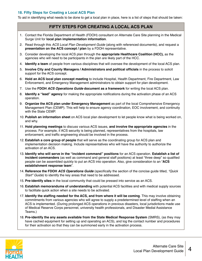#### **18. Fifty Steps for Creating a Local ACS Plan**

To aid in identifying what needs to be done to get a local plan in place, here is a list of steps that should be taken:

- 1. Contact the Florida Department of Health (FDOH) consultant on Alternate Care Site planning in the Medical Surge Unit for **local plan implementation information**.
- 2. Read through this *ACS Local Plan Development Guide* (along with referenced documents), and request a **presentation on the ACS concept / plan** by a FDOH representative.
- 3. Consider developing the local ACS plan through the **appropriate Healthcare Coalition (HCC),** as the agencies who will need to be participants in the plan are likely part of the HCC.
- 4. **Identify a team** of people from various disciplines that will oversee the development of the local ACS plan.
- 5. **Involve City and County Managers / Administrators and political officials** in the process to solicit support for the ACS concept.
- 6. **Hold an ACS local plan concept meeting** to include Hospital, Health Department, Fire Department, Law Enforcement, and Emergency Management administrators to obtain support for plan development.
- 7. Use the **FDOH** *ACS Operations Guide* **document as a framework** for writing the local ACS plan.
- 8. **Identify a "lead" agency** for making the appropriate notifications during the activation phase of an ACS operation.
- 9. **Organize the ACS plan under Emergency Management** as part of the local Comprehensive Emergency Management Plan (CEMP). This will help to ensure agency coordination, EOC involvement, and continuity with the State CEMP.
- 10. **Publish an information sheet** on ACS local plan development to let people know what is being worked on, and why.
- 11. **Hold planning meetings** to discuss various ACS issues, **and involve the appropriate agencies** in the process. For example, if ACS security is being planned, representatives from the hospitals, law enforcement, and traffic engineering should be involved in the process.
- 12. **Establish a core group of people** that will serve as the coordinating group for ACS plan and implementation decision making. Include representatives who will have the authority to authorize the activation of an ACS.
- 13. **Identify who will serve in the "incident command" positions** for an ACS operation. **Establish a list of incident commanders** (as well as command and general staff positions) at least "three deep" so qualified people can be assembled quickly to put an ACS into operation. Also, give consideration to an "**ACS establishment response team**".
- 14. **Reference the FDOH** *ACS Operations Guide* (specifically the section of the concise guide titled, *"Quick Start" Guide*) to identify the key areas that need to be addressed.
- 15. **Pre-identify sites** in the local community that could be pressed into service as an ACS.
- 16. **Establish memorandums of understanding** with potential ACS facilities and with medical supply sources to facilitate quick action when a site needs to be activated.
- 17. **Identify the staffing needed for the ACS, and from where it will be coming**. This may involve obtaining commitments from various agencies who will agree to supply a predetermined level of staffing when an ACS is implemented. (During prolonged ACS operations in previous disasters, local jurisdictions made use of Medical Reserve Corps personnel, university health professionals, and Disaster Medial Assistance Teams.)
- 18. **Pre-identify the any assets available from the State Medical Response System** (SMRS), (as they may have cached equipment for setting up and operating an ACS), and log the contact number and procedures for their activation so that they can be summoned early in the activation process.

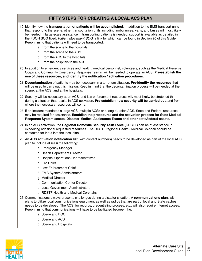- 19. Identify how the **transportation of patients will be accomplished**. In addition to the EMS transport units that respond to the scene, other transportation units including ambulances, vans, and buses will most likely be needed. If large-scale assistance in transporting patients is needed, support is available as detailed in the FDOH SOG titled: *Patient Movement SOG*, a link for which can be found in Section 20 of this Guide. Keep in mind that patients will need to be transported:
	- a. From the scene to the hospitals
	- b. From the scene to the ACS
	- c. From the ACS to the hospitals
	- d. From the hospitals to the ACS
- 20. In addition to emergency services and health / medical personnel, volunteers, such as the Medical Reserve Corps and Community Emergency Response Teams, will be needed to operate an ACS. **Pre-establish the use of these resources, and identify the notification / activation procedures.**
- 21. **Decontamination** of patients may be necessary in a terrorism situation. **Pre-identify the resources** that will be used to carry out this mission. Keep in mind that the decontamination process will be needed at the scene, at the ACS, and at the hospitals.
- 22. Security will be necessary at an ACS, and law enforcement resources will, most likely, be stretched thin during a situation that results in ACS activation. **Pre-establish how security will be carried out,** and from where the necessary resources will come.
- 23. If an incident mandates a large ACS, multiple ACSs or a long duration ACS, State and Federal resources may be required for assistance. **Establish the procedures and the activation process for State Medical Response System assets, Disaster Medical Assistance Teams and other state/federal assets.**
- 24. In an ACS activation, the **Regional Domestic Security Task Force** (RDSTF) can be of assistance in expediting additional requested resources. The RDSTF regional Health / Medical Co-chair should be contacted for input into the local plan.
- 25. An **ACS activation notification list** (with contact numbers) needs to be developed as part of the local ACS plan to include at *least* the following:
	- a. Emergency Manager
	- b. Health Department Director
	- c. Hospital Operations Representatives
	- d. Fire Chief
	- e. Law Enforcement Chief
	- f. EMS System Administrators
	- g. Medical Director
	- h. Communication Center Director
	- i. Local Government Administrators
	- j. RDSTF Health and Medical Co-chairs
- 26. Communications always presents challenges during a disaster situation. A **communications plan**, with plans to utilize local communications equipment as well as radios that are part of local and State caches, needs to be developed. The ACS, for records, credentialing process, etc., will also require Internet access. Keep in mind that communications will have to be facilitated between the:
	- a. Scene and EOC
	- b. Scene and ACS
	- c. Scene and Hospitals

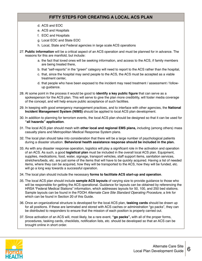- d. ACS and EOC
- e. ACS and Hospitals
- f. EOC and Hospitals
- g. Local EOC and State EOC
- h. Local, State and Federal agencies in large scale ACS operations
- 27. **Public information** will be a critical aspect of an ACS operation and must be planned for in advance. The reasons for this are manifold, but include:
	- a. the fact that loved ones will be seeking information, and access to the ACS, if family members are being treated there,
	- b. that "self-reports" in the "green" category will need to report to the ACS rather than the hospital,
	- c. that, since the hospital may send people to the ACS, the ACS must be accepted as a viable treatment center,
	- d. that people who have been exposed to the incident may need treatment / assessment / followup guidance.
- 28. At some point in the process it would be good to **identify a key public figure** that can serve as a spokesperson for the ACS plan. This will serve to give the plan more credibility, will foster media coverage of the concept, and will help ensure public acceptance of such facilities.
- 29. In keeping with good emergency management practices, and to interface with other agencies, the **National Incident Management System (NIMS)** should be applied to local ACS plan development.
- 30. In addition to planning for terrorism events, the local ACS plan should be designed so that it can be used for **"all hazards" application**.
- 31. The local ACS plan should mesh with **other local and regional EMS plans,** including (among others) mass casualty plans and Metropolitan Medical Response System plans.
- 32. The local plan should take into consideration that there will be a large number of psychological patients during a disaster situation. **Behavioral health assistance response should be included in the plan.**
- 33. As with any disaster response operation, logistics will play a significant role in the activation and operation of an ACS. As such, a good **logistical plan** must be included in the overall local ACS plan. Equipment, supplies, medications, food, water, signage, transport vehicles, staff support items, sanitation services, stretchers/beds, etc. are just some of the items that will have to be quickly acquired. Having a list of needed items, where they can be acquired, how they will be transported to the ACS, how they will be funded, etc. will go a long way towards a successful operation.
- 34. The local plan should include the necessary **forms to facilitate ACS start-up and operation**.
- 35. The local ACS plan should include **sample ACS layouts** of varying size to provide guidance to those who will be responsible for getting the ACS operational. Guidance for layouts can be obtained by referencing the HRSA "Federal Medical Stations" information, which addresses layouts for 50, 100, and 250 bed stations. Sample layouts can be found in the FDOH *Alternate Care Site Standard Operating Procedure*, a link for which can be found in Section 20 of this Guide.
- 36. Once an organizational structure is developed for the local ACS plan, **tasking cards** should be drawn up for all positions. If these are laminated and stored with ACS caches or administration "go packs", they can be distributed to responders to ensure that the mission of each position is properly carried out.
- 37. Since activation of an ACS will, most likely, be a rare event, **"go packs",** with all of the proper forms, procedures, tasking cards, checklists, notification lists, etc. should be developed so that an ACS can be brought online in short order.

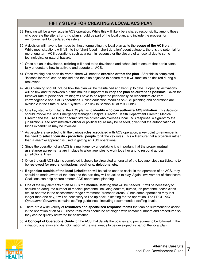- 38. Funding will be a key issue in ACS operation. While this will likely be a shared responsibility among those who operate the site, a **funding plan** should be part of the local plan, and include the process for reimbursement for declared disasters.
- 39. A decision will have to be made by those formulating the local plan as to the **scope of the ACS plan**. While most situations will fall into the "short fused – short duration" event category, there is the potential for more long term ACS operations such as a pan flu response or the closure of a hospital due to some technological or natural hazard.
- 40. Once a plan is developed, **training** will need to be developed and scheduled to ensure that participants fully understand how to activate and operate an ACS.
- 41. Once training has been delivered, there will need to **exercise or test the plan**. After this is completed, "lessons learned" can be applied and the plan adjusted to ensure that it will function as desired during a real event.
- 42. ACS planning should include how the plan will be maintained and kept up to date. Hopefully, activations will be few and far between but this makes it important to **keep the plan as current as possible**. Given the turnover rate of personnel, training will have to be repeated periodically so responders are kept knowledgeable about ACS operations. Online education modules on ACS planning and operations are available in the State "TRAIN" System. (See link in Section 18 of this Guide)
- 43. One key step in formulating the ACS plan is to **identify who can authorize ACS initiation**. This decision should involve the local Emergency Manager, Hospital Director, Health Department Director, Medical Director and the Fire Chief or administrative officer who oversees local EMS response. A sign-off by the jurisdiction's lead administrative officer or political figure may be needed, given that the authorization of funds expenditure may be involved.
- 44. As people are selected to fill the various roles associated with ACS operation, a key point to remember is the need to **select "can do - proactive" people** to fill the key roles. This will ensure that a *proactive* rather than a *reactive* approach is used in getting an ACS operational.
- 45. Since the operation of an ACS is a multi-agency undertaking it is important that the proper **mutual assistance agreements** are in place to allow agencies to work together and to respond across jurisdictional lines.
- 46. Once the draft ACS plan is completed it should be circulated among all of the key agencies / participants to be **reviewed for errors, omissions, additions, deletions, etc.**
- 47. If **agencies outside of the local jurisdiction** will be called upon to assist in the operation of an ACS, they should be made aware of the plan and the part they will be asked to play. Again, involvement of Healthcare Coalitions can help ensure smooth ACS operational planning.
- 48. One of the key elements of an ACS is the **medical staffing** that will be needed. It will be necessary to acquire an adequate number of medical personnel including doctors, nurses, lab personnel, technicians, etc. to operate in the assessment-triage / treatment / transport areas. Since some operations may last longer than one day, it will be necessary to line up backup staffing for the operation. The FDOH *ACS Operational Guidance* contains staffing guidelines, including recommended staffing levels.
- 49. There are a wide variety of **resources and specialized response teams** that can be summoned to assist in the operation of an ACS. These resources should be cataloged with contact numbers and procedures so they can be quickly activated for assistance.
- 50. A **Concept of Operations Guide** for the ACS that details the policies and procedures to be followed in the initiation, operation and demobilization of the site, needs to be developed as part of the local plan.

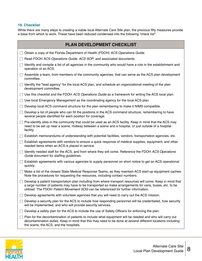#### **19. Checklist**

While there are many steps to creating a viable local Alternate Care Site plan, the previous fifty measures provide a base from which to work. These have been reduced condensed into the following "check list":

| PLAN DEVELOPMENT CHECKLIST                                                                                                                                                                                                                                                                                  |
|-------------------------------------------------------------------------------------------------------------------------------------------------------------------------------------------------------------------------------------------------------------------------------------------------------------|
| Obtain a copy of the Florida Department of Health (FDOH) ACS Operations Guide.                                                                                                                                                                                                                              |
| Read FDOH ACS Operations Guide, ACS SOP, and associated documents.                                                                                                                                                                                                                                          |
| Identify and compile a list of all agencies in the community who would have a role in the establishment and<br>operation of an ACS.                                                                                                                                                                         |
| Assemble a team, from members of the community agencies, that can serve as the ACS plan development<br>committee.                                                                                                                                                                                           |
| Identify the "lead agency" for the local ACS plan, and schedule an organizational meeting of the plan<br>development committee.                                                                                                                                                                             |
| Use this checklist and the FDOH ACS Operations Guide as a framework for writing the ACS local plan.                                                                                                                                                                                                         |
| Use local Emergency Management as the coordinating agency for the local ACS plan.                                                                                                                                                                                                                           |
| Develop local ACS command structure for the plan remembering to make it NIMS compatible.                                                                                                                                                                                                                    |
| Develop a list of people who can fill the positions in the ACS command structure, remembering to have<br>several people identified for each position for coverage.                                                                                                                                          |
| Pre-identify sites in the community that could be used as an ACS facility. Keep in mind that the ACS may<br>need to be set up near a scene, midway between a scene and a hospital, or just outside of a hospital<br>facility.                                                                               |
| Establish memorandums of understanding with potential facilities, vendors, transportation agencies, etc.                                                                                                                                                                                                    |
| Establish agreements with vendors to ensure a quick response of medical supplies, equipment, and other<br>needed items when an ACS is placed in service.                                                                                                                                                    |
| Identify needed staff for the ACS, and from where they will come. Reference the FDOH ACS Operations<br>Guide document for staffing guidelines.                                                                                                                                                              |
| Establish agreements with various agencies to supply personnel on short notice to get an ACS operational<br>quickly.                                                                                                                                                                                        |
| Make a list of the closest State Medical Response Teams, as they maintain ACS start-up equipment caches.<br>Note the procedures for requesting the resources, including contact numbers.                                                                                                                    |
| Develop a patient transportation plan including from where transport resources will come. Keep in mind that<br>a large number of patients may have to be transported so make arrangements for vans, buses, etc. to be<br>utilized. The FDOH Patient Movement SOG can be referenced for further information. |
| Develop agreements with volunteer agencies that you will need to carry out the ACS mission.                                                                                                                                                                                                                 |
| Develop a security plan for the ACS to include how responding personnel will be credentialed, how security<br>will be implemented, and who will provide security services.                                                                                                                                  |
| Develop a safety plan for the ACS to include the use of Safety Officers for enforcing the plan.                                                                                                                                                                                                             |
| Plan for the decontamination of patients to include what equipment will be needed and who will carry out<br>decontamination duties. Keep in mind that this may need to be done at several different locations including<br>the scene, the ACS, and the hospitals.                                           |

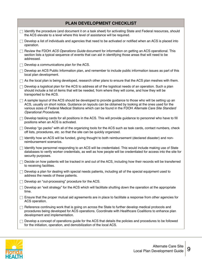| PLAN DEVELOPMENT CHECKLIST                                                                                                                                                                                                                                                                                                                                |  |
|-----------------------------------------------------------------------------------------------------------------------------------------------------------------------------------------------------------------------------------------------------------------------------------------------------------------------------------------------------------|--|
| Identify the procedure (and document it on a task sheet) for activating State and Federal resources, should<br>the ACS elevate to a level where this level of assistance will be required.                                                                                                                                                                |  |
| Develop a list of individuals and agencies that need to be activated or notified when an ACS is placed into<br>operation.                                                                                                                                                                                                                                 |  |
| Review the FDOH ACS Operations Guide document for information on getting an ACS operational. This<br>section lists a typical sequence of events that can aid in identifying those areas that will need to be<br>addressed.                                                                                                                                |  |
| Develop a communications plan for the ACS.                                                                                                                                                                                                                                                                                                                |  |
| Develop an ACS Public Information plan, and remember to include public information issues as part of this<br>$\Box$<br>local plan development.                                                                                                                                                                                                            |  |
| As the local plan is being developed, research other plans to ensure that the ACS plan meshes with them.                                                                                                                                                                                                                                                  |  |
| Develop a logistical plan for the ACS to address all of the logistical needs of an operation. Such a plan<br>L<br>should include a list of items that will be needed, from where they will come, and how they will be<br>transported to the ACS.                                                                                                          |  |
| A sample layout of the ACS should be developed to provide guidance to those who will be setting up an<br>ACS, usually on short notice. Guidance on layouts can be obtained by looking at the ones used for the<br>various sizes of Federal Medical Stations which can be found in the FDOH Alternate Care Site Standard<br><b>Operational Procedures.</b> |  |
| Develop tasking cards for all positions in the ACS. This will provide guidance to personnel who have to fill<br>$\mathbf{I}$<br>positions when an ACS is activated.                                                                                                                                                                                       |  |
| Develop "go packs" with all of the organizing tools for the ACS such as task cards, contact numbers, check<br>off lists, procedures, etc. so that the site can be quickly organized.                                                                                                                                                                      |  |
| Identify how an ACS will be funded, giving thought to both reimbursement (declared disaster) and non-<br>$\mathbb{R}^n$<br>reimbursement scenarios.                                                                                                                                                                                                       |  |
| Identify how personnel responding to an ACS will be credentialed. This would include making use of State<br>L<br>databases to verify worker credentials, as well as how people will be credentialed for access into the site for<br>security purposes.                                                                                                    |  |
| Decide on how patients will be tracked in and out of the ACS, including how their records will be transferred<br>to receiving facilities.                                                                                                                                                                                                                 |  |
| Develop a plan for dealing with special needs patients, including all of the special equipment used to<br>address the needs of these patients.                                                                                                                                                                                                            |  |
| Develop an "out-processing" procedure for the ACS.                                                                                                                                                                                                                                                                                                        |  |
| Develop an "exit strategy" for the ACS which will facilitate shutting down the operation at the appropriate<br>time.                                                                                                                                                                                                                                      |  |
| Ensure that the proper mutual aid agreements are in place to facilitate a response from other agencies for<br>ACS operation.                                                                                                                                                                                                                              |  |
| Reference continuing work that is going on across the State to further develop medical protocols and<br>procedures being developed for ACS operations. Coordinate with Healthcare Coalitions to enhance plan<br>development and implementation.                                                                                                           |  |
| Develop a concept of operations guide for the ACS that details the policies and procedures to be followed<br>for the initiation, operation, and demobilization of the local ACS.                                                                                                                                                                          |  |

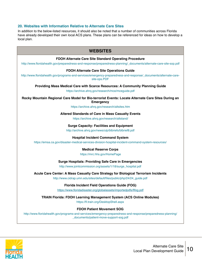#### **20. Websites with Information Relative to Alternate Care Sites**

In addition to the below-listed resources, it should also be noted that a number of communities across Florida have already developed their own local ACS plans. These plans can be referenced for ideas on how to develop a local plan.

| <b>WEBSITES</b>                                                                                                                                                                              |
|----------------------------------------------------------------------------------------------------------------------------------------------------------------------------------------------|
| FDOH Alternate Care Site Standard Operating Procedure<br>http://www.floridahealth.gov/preparedness-and-response/preparedness-planning/_documents/alternate-care-site-sop.pdf                 |
| <b>FDOH Alternate Care Site Operations Guide</b><br>http://www.floridahealth.gov/programs-and-services/emergency-preparedness-and-response/_documents/alternate-care-<br>site-ops.PDF        |
| Providing Mass Medical Care with Scarce Resources: A Community Planning Guide<br>https://archive.ahrq.gov/research/mce/mceguide.pdf                                                          |
| Rocky Mountain Regional Care Model for Bio-terrorist Events: Locate Alternate Care Sites During an<br><b>Emergency</b><br>https://archive.ahrq.gov/research/altsites.htm                     |
| <b>Altered Standards of Care in Mass Casualty Events</b><br>https://archive.ahrq.gov/research/altstand/                                                                                      |
| <b>Surge Capacity: Facilities and Equipment</b><br>http://archive.ahrq.gov/news/ulp/btbriefs/btbrief8.pdf                                                                                    |
| <b>Hospital Incident Command System</b><br>https://emsa.ca.gov/disaster-medical-services-division-hospital-incident-command-system-resources/                                                |
| <b>Medical Reserve Corps</b><br>https://mrc.hhs.gov/HomePage                                                                                                                                 |
| <b>Surge Hospitals: Providing Safe Care in Emergencies</b><br>http://www.jointcommission.org/assets/1/18/surge_hospital.pdf                                                                  |
| Acute Care Center: A Mass Casualty Care Strategy for Biological Terrorism Incidents<br>http://www.cidrap.umn.edu/sites/default/files/public/php/24/24_guide.pdf                              |
| <b>Florida Incident Field Operations Guide (FOG)</b><br>https://www.floridadisaster.org/globalassets/importedpdfs/flfog.pdf                                                                  |
| <b>TRAIN Florida: FDOH Learning Management System (ACS Online Modules)</b><br>https://fl.train.org/DesktopShell.aspx                                                                         |
| <b>FDOH Patient Movement SOG</b><br>http://www.floridahealth.gov/programs-and-services/emergency-preparedness-and-response/preparedness-planning/<br>_documents/patient-move-support-sog.pdf |